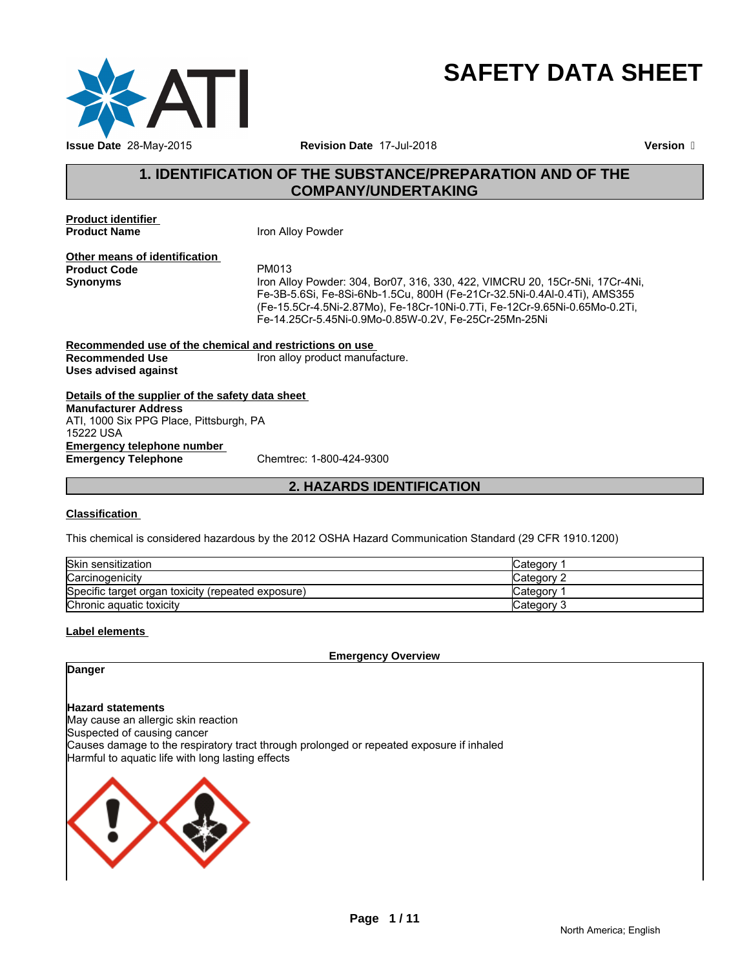

# **SAFETY DATA SHEET**

# **1. IDENTIFICATION OF THE SUBSTANCE/PREPARATION AND OF THE COMPANY/UNDERTAKING**

**Product identifier** 

**Iron Alloy Powder** 

**Other means of identification**<br>**Product Code** PM013 **Product Code**<br>Synonyms

**Synonyms** Iron Alloy Powder: 304, Bor07, 316, 330, 422, VIMCRU 20, 15Cr-5Ni, 17Cr-4Ni, Fe-3B-5.6Si, Fe-8Si-6Nb-1.5Cu, 800H (Fe-21Cr-32.5Ni-0.4Al-0.4Ti), AMS355 (Fe-15.5Cr-4.5Ni-2.87Mo), Fe-18Cr-10Ni-0.7Ti, Fe-12Cr-9.65Ni-0.65Mo-0.2Ti, Fe-14.25Cr-5.45Ni-0.9Mo-0.85W-0.2V, Fe-25Cr-25Mn-25Ni

**Recommended use of the chemical and restrictions on use**  Iron alloy product manufacture. **Uses advised against**

**Details of the supplier of the safety data sheet Emergency telephone number Emergency Telephone** Chemtrec: 1-800-424-9300 **Manufacturer Address** ATI, 1000 Six PPG Place, Pittsburgh, PA 15222 USA

**2. HAZARDS IDENTIFICATION**

#### **Classification**

This chemical is considered hazardous by the 2012 OSHA Hazard Communication Standard (29 CFR 1910.1200)

| Skin sensitization                                 | ∵ategorvٽ   |
|----------------------------------------------------|-------------|
| Carcinogenicity                                    | ∴Category ∂ |
| Specific target organ toxicity (repeated exposure) | Category    |
| Chronic aquatic toxicity                           | Category 3  |

#### **Label elements**

**Emergency Overview**

### **Danger**

**Hazard statements**

May cause an allergic skin reaction Suspected of causing cancer Causes damage to the respiratory tract through prolonged or repeated exposure if inhaled Harmful to aquatic life with long lasting effects

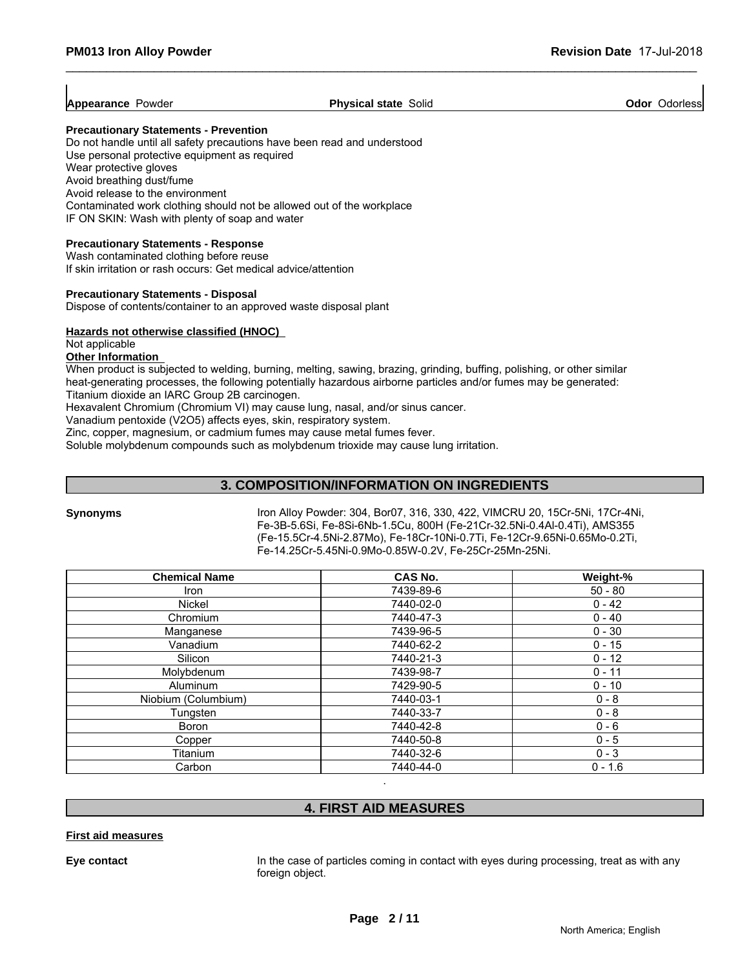$\overline{1}$ 

| <br><b>Appearance</b><br>Physical<br>Solid<br>Odorlessi<br>owder?<br>Odor<br>., state<br>asiyar. |
|--------------------------------------------------------------------------------------------------|
|--------------------------------------------------------------------------------------------------|

#### **Precautionary Statements - Prevention**

Do not handle until all safety precautions have been read and understood Use personal protective equipment as required Wear protective gloves Avoid breathing dust/fume Avoid release to the environment Contaminated work clothing should not be allowed out of the workplace IF ON SKIN: Wash with plenty of soap and water

#### **Precautionary Statements - Response**

Wash contaminated clothing before reuse If skin irritation or rash occurs: Get medical advice/attention

#### **Precautionary Statements - Disposal**

Dispose of contents/container to an approved waste disposal plant

#### **Hazards not otherwise classified (HNOC)**

Not applicable

### **Other Information**

When product is subjected to welding, burning, melting, sawing, brazing, grinding, buffing, polishing, or other similar heat-generating processes, the following potentially hazardous airborne particles and/or fumes may be generated: Titanium dioxide an IARC Group 2B carcinogen.

Hexavalent Chromium (Chromium VI) may cause lung, nasal, and/or sinus cancer.

Vanadium pentoxide (V2O5) affects eyes, skin, respiratory system.

Zinc, copper, magnesium, or cadmium fumes may cause metal fumes fever.

Soluble molybdenum compounds such as molybdenum trioxide may cause lung irritation.

#### **3. COMPOSITION/INFORMATION ON INGREDIENTS**

**Synonyms** Iron Alloy Powder: 304, Bor07, 316, 330, 422, VIMCRU 20, 15Cr-5Ni, 17Cr-4Ni, Fe-3B-5.6Si, Fe-8Si-6Nb-1.5Cu, 800H (Fe-21Cr-32.5Ni-0.4Al-0.4Ti), AMS355 (Fe-15.5Cr-4.5Ni-2.87Mo), Fe-18Cr-10Ni-0.7Ti, Fe-12Cr-9.65Ni-0.65Mo-0.2Ti, Fe-14.25Cr-5.45Ni-0.9Mo-0.85W-0.2V, Fe-25Cr-25Mn-25Ni.

| <b>Chemical Name</b> | CAS No.   | Weight-%  |
|----------------------|-----------|-----------|
| Iron                 | 7439-89-6 | $50 - 80$ |
| <b>Nickel</b>        | 7440-02-0 | $0 - 42$  |
| Chromium             | 7440-47-3 | $0 - 40$  |
| Manganese            | 7439-96-5 | $0 - 30$  |
| Vanadium             | 7440-62-2 | $0 - 15$  |
| Silicon              | 7440-21-3 | $0 - 12$  |
| Molybdenum           | 7439-98-7 | $0 - 11$  |
| <b>Aluminum</b>      | 7429-90-5 | $0 - 10$  |
| Niobium (Columbium)  | 7440-03-1 | $0 - 8$   |
| Tungsten             | 7440-33-7 | $0 - 8$   |
| Boron                | 7440-42-8 | $0 - 6$   |
| Copper               | 7440-50-8 | $0 - 5$   |
| Titanium             | 7440-32-6 | $0 - 3$   |
| Carbon               | 7440-44-0 | $0 - 1.6$ |

# **4. FIRST AID MEASURES**

.

#### **First aid measures**

**Eye contact** In the case of particles coming in contact with eyes during processing, treat as with any foreign object.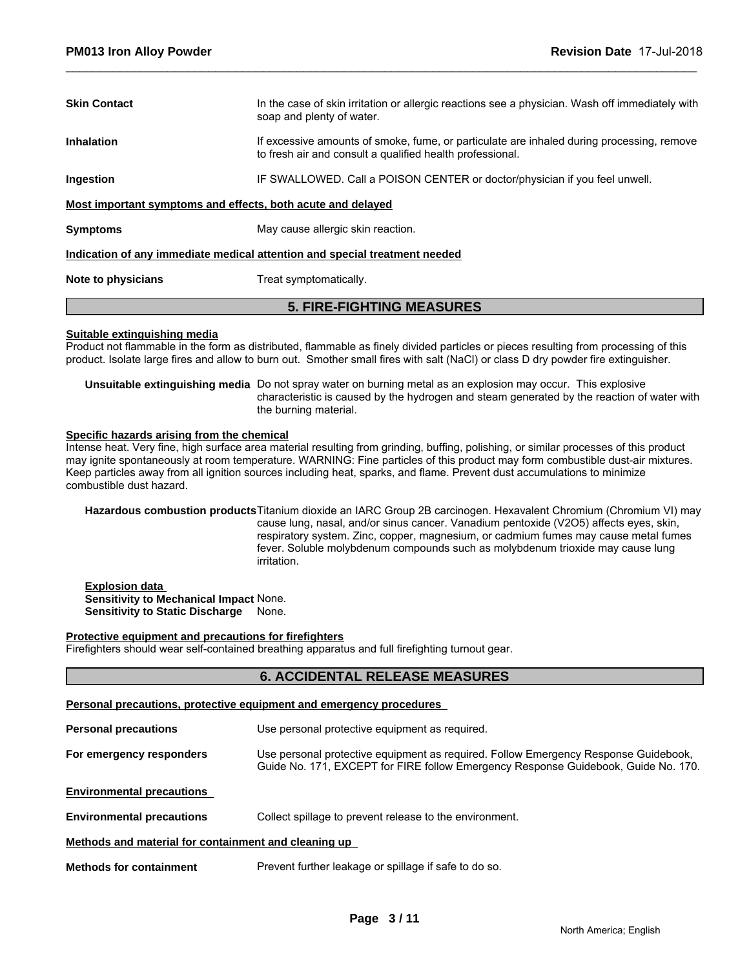| <b>Skin Contact</b>                                         | In the case of skin irritation or allergic reactions see a physician. Wash off immediately with<br>soap and plenty of water.                           |
|-------------------------------------------------------------|--------------------------------------------------------------------------------------------------------------------------------------------------------|
| <b>Inhalation</b>                                           | If excessive amounts of smoke, fume, or particulate are inhaled during processing, remove<br>to fresh air and consult a qualified health professional. |
| Ingestion                                                   | IF SWALLOWED. Call a POISON CENTER or doctor/physician if you feel unwell.                                                                             |
| Most important symptoms and effects, both acute and delayed |                                                                                                                                                        |
| <b>Symptoms</b>                                             | May cause allergic skin reaction.                                                                                                                      |
|                                                             | Indication of any immediate medical attention and special treatment needed                                                                             |
| .                                                           |                                                                                                                                                        |

**Note to physicians** Treat symptomatically.

### **5. FIRE-FIGHTING MEASURES**

#### **Suitable extinguishing media**

Product not flammable in the form as distributed, flammable as finely divided particles or pieces resulting from processing of this product. Isolate large fires and allow to burn out. Smother small fires with salt (NaCl) or class D dry powder fire extinguisher.

**Unsuitable extinguishing media** Do not spray water on burning metal as an explosion may occur. This explosive characteristic is caused by the hydrogen and steam generated by the reaction of water with the burning material.

#### **Specific hazards arising from the chemical**

Intense heat. Very fine, high surface area material resulting from grinding, buffing, polishing, or similar processes of this product may ignite spontaneously at room temperature. WARNING: Fine particles of this product may form combustible dust-air mixtures. Keep particles away from all ignition sources including heat, sparks, and flame. Prevent dust accumulations to minimize combustible dust hazard.

**Hazardous combustion products**Titanium dioxide an IARC Group 2B carcinogen. Hexavalent Chromium (Chromium VI) may cause lung, nasal, and/or sinus cancer. Vanadium pentoxide (V2O5) affects eyes, skin, respiratory system. Zinc, copper, magnesium, or cadmium fumes may cause metal fumes fever. Soluble molybdenum compounds such as molybdenum trioxide may cause lung irritation.

**Explosion data Sensitivity to Mechanical Impact** None. **Sensitivity to Static Discharge** None.

#### **Protective equipment and precautions for firefighters**

Firefighters should wear self-contained breathing apparatus and full firefighting turnout gear.

#### **6. ACCIDENTAL RELEASE MEASURES**

|                                                      | Personal precautions, protective equipment and emergency procedures                                                                                                       |
|------------------------------------------------------|---------------------------------------------------------------------------------------------------------------------------------------------------------------------------|
| <b>Personal precautions</b>                          | Use personal protective equipment as required.                                                                                                                            |
| For emergency responders                             | Use personal protective equipment as required. Follow Emergency Response Guidebook,<br>Guide No. 171, EXCEPT for FIRE follow Emergency Response Guidebook, Guide No. 170. |
| <b>Environmental precautions</b>                     |                                                                                                                                                                           |
| <b>Environmental precautions</b>                     | Collect spillage to prevent release to the environment.                                                                                                                   |
| Methods and material for containment and cleaning up |                                                                                                                                                                           |
| <b>Methods for containment</b>                       | Prevent further leakage or spillage if safe to do so.                                                                                                                     |
|                                                      |                                                                                                                                                                           |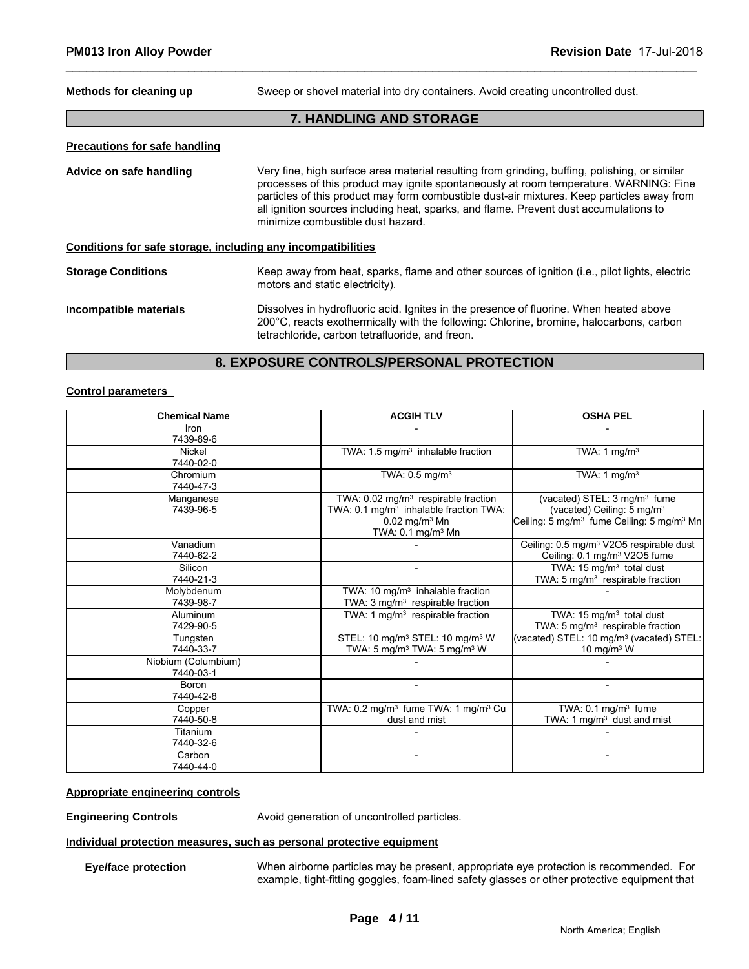**Methods for cleaning up** Sweep or shovel material into dry containers. Avoid creating uncontrolled dust.

#### **7. HANDLING AND STORAGE**

#### **Precautions for safe handling**

**Advice on safe handling** Very fine, high surface area material resulting from grinding, buffing, polishing, or similar processes of this product may ignite spontaneously at room temperature. WARNING: Fine particles of this product may form combustible dust-air mixtures. Keep particles away from all ignition sources including heat, sparks, and flame. Prevent dust accumulations to minimize combustible dust hazard.

#### **Conditions for safe storage, including any incompatibilities**

#### **Storage Conditions** Keep away from heat, sparks, flame and other sources of ignition (i.e., pilot lights, electric motors and static electricity).

#### **Incompatible materials** Dissolves in hydrofluoric acid. Ignites in the presence of fluorine. When heated above 200°C, reacts exothermically with the following: Chlorine, bromine, halocarbons, carbon tetrachloride, carbon tetrafluoride, and freon.

#### **8. EXPOSURE CONTROLS/PERSONAL PROTECTION**

#### **Control parameters**

| <b>Chemical Name</b> | <b>ACGIH TLV</b>                                            | <b>OSHA PEL</b>                                                   |
|----------------------|-------------------------------------------------------------|-------------------------------------------------------------------|
| <b>Iron</b>          |                                                             |                                                                   |
| 7439-89-6            |                                                             |                                                                   |
| Nickel               | TWA: $1.5 \text{ mg/m}^3$ inhalable fraction                | TWA: 1 mg/m <sup>3</sup>                                          |
| 7440-02-0            |                                                             |                                                                   |
| Chromium             | TWA: 0.5 mg/m <sup>3</sup>                                  | TWA: 1 mg/m $3$                                                   |
| 7440-47-3            |                                                             |                                                                   |
| Manganese            | TWA: $0.02$ mg/m <sup>3</sup> respirable fraction           | (vacated) STEL: 3 mg/m <sup>3</sup> fume                          |
| 7439-96-5            | TWA: 0.1 mg/m <sup>3</sup> inhalable fraction TWA:          | (vacated) Ceiling: 5 mg/m <sup>3</sup>                            |
|                      | $0.02$ mg/m <sup>3</sup> Mn                                 | Ceiling: 5 mg/m <sup>3</sup> fume Ceiling: 5 mg/m <sup>3</sup> Mn |
|                      | TWA: $0.1 \text{ mg/m}^3$ Mn                                |                                                                   |
| Vanadium             |                                                             | Ceiling: 0.5 mg/m <sup>3</sup> V2O5 respirable dust               |
| 7440-62-2            |                                                             | Ceiling: 0.1 mg/m <sup>3</sup> V2O5 fume                          |
| Silicon              |                                                             | TWA: 15 mg/m <sup>3</sup> total dust                              |
| 7440-21-3            |                                                             | TWA: 5 mg/m <sup>3</sup> respirable fraction                      |
| Molybdenum           | TWA: 10 mg/m <sup>3</sup> inhalable fraction                |                                                                   |
| 7439-98-7            | TWA: 3 mg/m <sup>3</sup> respirable fraction                |                                                                   |
| Aluminum             | TWA: 1 $mg/m3$ respirable fraction                          | TWA: 15 mg/m <sup>3</sup> total dust                              |
| 7429-90-5            |                                                             | TWA: 5 mg/m <sup>3</sup> respirable fraction                      |
| Tungsten             | STEL: 10 mg/m <sup>3</sup> STEL: 10 mg/m <sup>3</sup> W     | (vacated) STEL: 10 mg/m <sup>3</sup> (vacated) STEL:              |
| 7440-33-7            | TWA: 5 mg/m <sup>3</sup> TWA: 5 mg/m <sup>3</sup> W         | 10 mg/m $3$ W                                                     |
| Niobium (Columbium)  |                                                             |                                                                   |
| 7440-03-1            |                                                             |                                                                   |
| <b>Boron</b>         |                                                             |                                                                   |
| 7440-42-8            |                                                             |                                                                   |
| Copper               | TWA: 0.2 mg/m <sup>3</sup> fume TWA: 1 mg/m <sup>3</sup> Cu | TWA: $0.1 \text{ mg/m}^3$ fume                                    |
| 7440-50-8            | dust and mist                                               | TWA: 1 mg/m <sup>3</sup> dust and mist                            |
| Titanium             |                                                             |                                                                   |
| 7440-32-6            |                                                             |                                                                   |
| Carbon               |                                                             |                                                                   |
| 7440-44-0            |                                                             |                                                                   |

#### **Appropriate engineering controls**

**Engineering Controls Avoid generation of uncontrolled particles.** 

#### **Individual protection measures, such as personal protective equipment**

**Eye/face protection** When airborne particles may be present, appropriate eye protection is recommended. For example, tight-fitting goggles, foam-lined safety glasses or other protective equipment that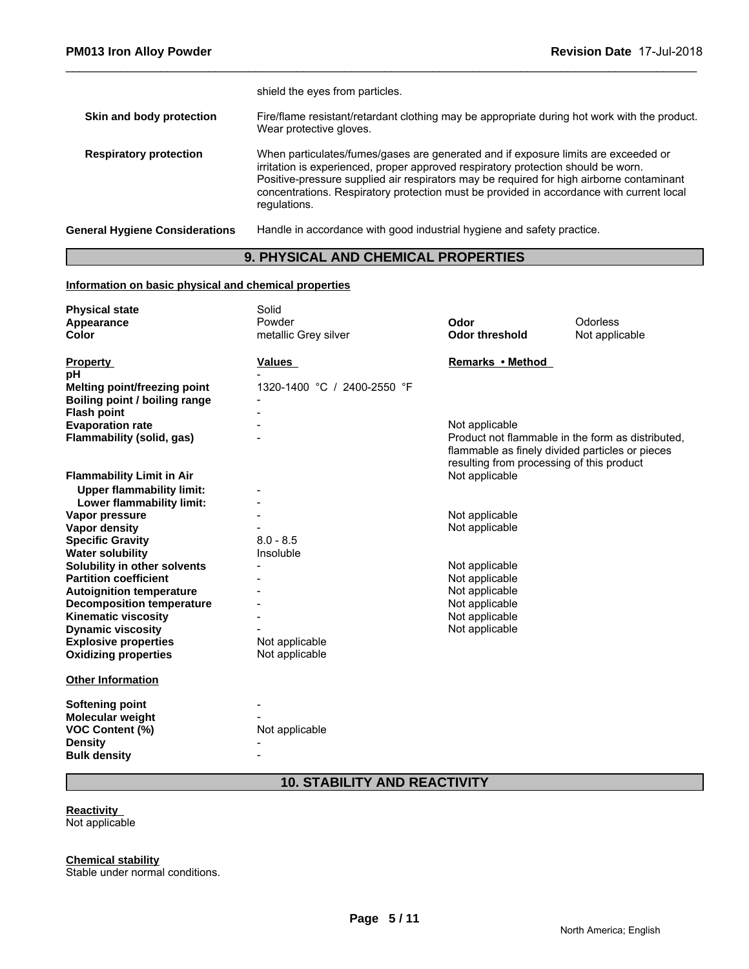|                                       | shield the eyes from particles.                                                                                                                                                                                                                                                                                                                                                 |
|---------------------------------------|---------------------------------------------------------------------------------------------------------------------------------------------------------------------------------------------------------------------------------------------------------------------------------------------------------------------------------------------------------------------------------|
| Skin and body protection              | Fire/flame resistant/retardant clothing may be appropriate during hot work with the product.<br>Wear protective gloves.                                                                                                                                                                                                                                                         |
| <b>Respiratory protection</b>         | When particulates/fumes/gases are generated and if exposure limits are exceeded or<br>irritation is experienced, proper approved respiratory protection should be worn.<br>Positive-pressure supplied air respirators may be required for high airborne contaminant<br>concentrations. Respiratory protection must be provided in accordance with current local<br>regulations. |
| <b>General Hygiene Considerations</b> | Handle in accordance with good industrial hygiene and safety practice.                                                                                                                                                                                                                                                                                                          |

# **9. PHYSICAL AND CHEMICAL PROPERTIES**

#### **Information on basic physical and chemical properties**

| <b>Physical state</b>            | Solid                       |                                                                                              |                                                   |
|----------------------------------|-----------------------------|----------------------------------------------------------------------------------------------|---------------------------------------------------|
| Appearance                       | Powder                      | Odor                                                                                         | Odorless                                          |
| Color                            | metallic Grey silver        | <b>Odor threshold</b>                                                                        | Not applicable                                    |
| <b>Property</b>                  | Values                      | Remarks • Method                                                                             |                                                   |
| pH                               |                             |                                                                                              |                                                   |
| Melting point/freezing point     | 1320-1400 °C / 2400-2550 °F |                                                                                              |                                                   |
| Boiling point / boiling range    |                             |                                                                                              |                                                   |
| <b>Flash point</b>               |                             |                                                                                              |                                                   |
| <b>Evaporation rate</b>          |                             | Not applicable                                                                               |                                                   |
| Flammability (solid, gas)        |                             | flammable as finely divided particles or pieces<br>resulting from processing of this product | Product not flammable in the form as distributed, |
| <b>Flammability Limit in Air</b> |                             | Not applicable                                                                               |                                                   |
| <b>Upper flammability limit:</b> |                             |                                                                                              |                                                   |
| Lower flammability limit:        |                             |                                                                                              |                                                   |
| Vapor pressure                   |                             | Not applicable                                                                               |                                                   |
| Vapor density                    |                             | Not applicable                                                                               |                                                   |
| <b>Specific Gravity</b>          | $8.0 - 8.5$                 |                                                                                              |                                                   |
| <b>Water solubility</b>          | Insoluble                   |                                                                                              |                                                   |
| Solubility in other solvents     |                             | Not applicable                                                                               |                                                   |
| <b>Partition coefficient</b>     |                             | Not applicable                                                                               |                                                   |
| <b>Autoignition temperature</b>  |                             | Not applicable                                                                               |                                                   |
| <b>Decomposition temperature</b> |                             | Not applicable                                                                               |                                                   |
| <b>Kinematic viscosity</b>       |                             | Not applicable                                                                               |                                                   |
| <b>Dynamic viscosity</b>         |                             | Not applicable                                                                               |                                                   |
| <b>Explosive properties</b>      | Not applicable              |                                                                                              |                                                   |
| <b>Oxidizing properties</b>      | Not applicable              |                                                                                              |                                                   |
| <b>Other Information</b>         |                             |                                                                                              |                                                   |
| <b>Softening point</b>           |                             |                                                                                              |                                                   |
| Molecular weight                 |                             |                                                                                              |                                                   |
| <b>VOC Content (%)</b>           | Not applicable              |                                                                                              |                                                   |
| <b>Density</b>                   |                             |                                                                                              |                                                   |
| <b>Bulk density</b>              |                             |                                                                                              |                                                   |
|                                  |                             |                                                                                              |                                                   |

# **10. STABILITY AND REACTIVITY**

# **Reactivity**

Not applicable

**Chemical stability**

Stable under normal conditions.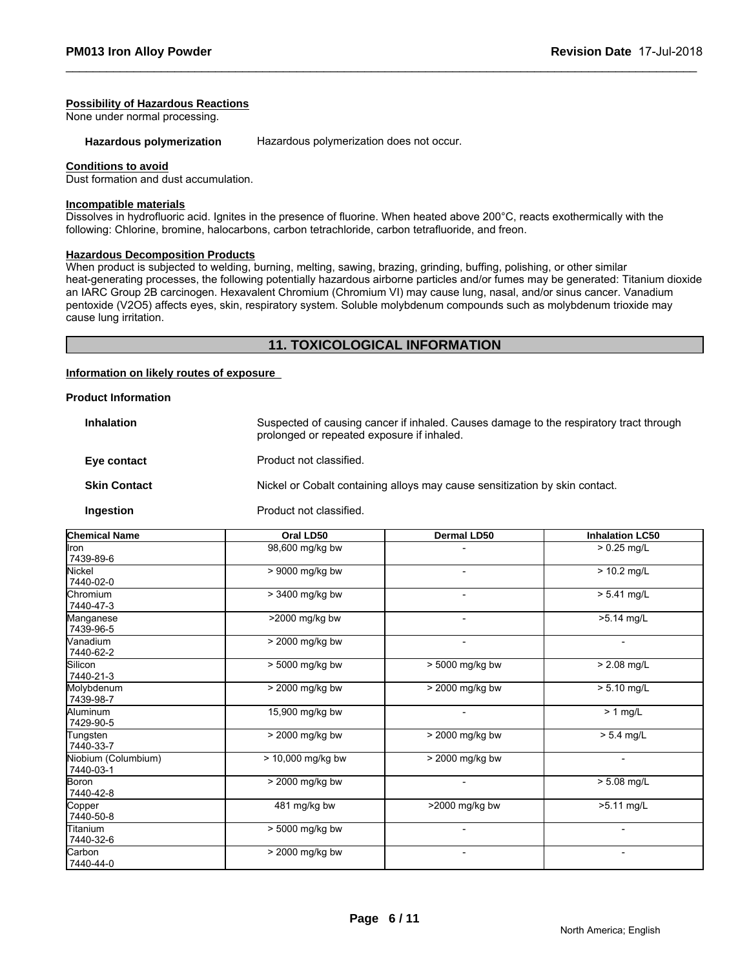#### **Possibility of Hazardous Reactions**

None under normal processing.

Hazardous polymerization **Hazardous polymerization does not occur.** 

#### **Conditions to avoid**

Dust formation and dust accumulation.

#### **Incompatible materials**

Dissolves in hydrofluoric acid. Ignites in the presence of fluorine. When heated above 200°C, reacts exothermically with the following: Chlorine, bromine, halocarbons, carbon tetrachloride, carbon tetrafluoride, and freon.

# **Hazardous Decomposition Products**

When product is subjected to welding, burning, melting, sawing, brazing, grinding, buffing, polishing, or other similar heat-generating processes, the following potentially hazardous airborne particles and/or fumes may be generated: Titanium dioxide an IARC Group 2B carcinogen. Hexavalent Chromium (Chromium VI) may cause lung, nasal, and/or sinus cancer. Vanadium pentoxide (V2O5) affects eyes, skin, respiratory system. Soluble molybdenum compounds such as molybdenum trioxide may cause lung irritation.

#### **11. TOXICOLOGICAL INFORMATION**

#### **Information on likely routes of exposure**

#### **Product Information**

| <b>Inhalation</b>   | Suspected of causing cancer if inhaled. Causes damage to the respiratory tract through<br>prolonged or repeated exposure if inhaled. |
|---------------------|--------------------------------------------------------------------------------------------------------------------------------------|
| Eye contact         | Product not classified.                                                                                                              |
| <b>Skin Contact</b> | Nickel or Cobalt containing alloys may cause sensitization by skin contact.                                                          |
| Ingestion           | Product not classified.                                                                                                              |

| <b>Chemical Name</b>             | Oral LD50           | Dermal LD50              | <b>Inhalation LC50</b>   |
|----------------------------------|---------------------|--------------------------|--------------------------|
| lron                             | 98,600 mg/kg bw     |                          | $> 0.25$ mg/L            |
| 7439-89-6                        |                     |                          |                          |
| Nickel                           | > 9000 mg/kg bw     |                          | $> 10.2$ mg/L            |
| 7440-02-0                        |                     |                          |                          |
| Chromium                         | > 3400 mg/kg bw     | $\overline{\phantom{a}}$ | $> 5.41$ mg/L            |
| 7440-47-3                        |                     |                          |                          |
| Manganese                        | >2000 mg/kg bw      | $\overline{\phantom{a}}$ | >5.14 mg/L               |
| 7439-96-5                        |                     |                          |                          |
| <b>Nanadium</b>                  | > 2000 mg/kg bw     |                          |                          |
| 7440-62-2                        |                     |                          |                          |
| <b>Silicon</b>                   | > 5000 mg/kg bw     | > 5000 mg/kg bw          | $> 2.08$ mg/L            |
| 7440-21-3                        |                     |                          |                          |
| Molybdenum                       | > 2000 mg/kg bw     | > 2000 mg/kg bw          | $> 5.10$ mg/L            |
| 7439-98-7                        |                     |                          |                          |
| Aluminum                         | 15,900 mg/kg bw     |                          | $> 1$ mg/L               |
| 7429-90-5                        |                     |                          |                          |
| Tungsten                         | > 2000 mg/kg bw     | > 2000 mg/kg bw          | $> 5.4$ mg/L             |
| 7440-33-7                        |                     |                          |                          |
| Niobium (Columbium)<br>7440-03-1 | $> 10,000$ mg/kg bw | > 2000 mg/kg bw          | $\overline{\phantom{0}}$ |
| <b>Boron</b>                     | > 2000 mg/kg bw     |                          | $> 5.08$ mg/L            |
| 7440-42-8                        |                     |                          |                          |
| Copper                           | 481 mg/kg bw        | >2000 mg/kg bw           | >5.11 mg/L               |
| 7440-50-8                        |                     |                          |                          |
| Titanium                         | > 5000 mg/kg bw     |                          |                          |
| 7440-32-6                        |                     |                          |                          |
| Carbon                           | > 2000 mg/kg bw     |                          |                          |
| 7440-44-0                        |                     |                          |                          |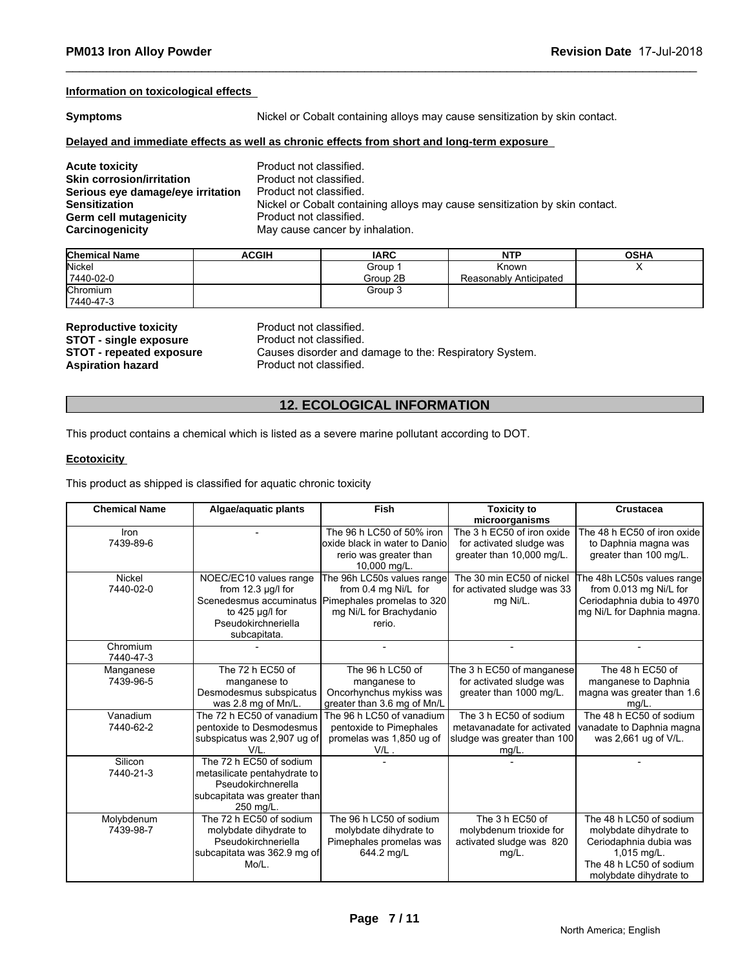#### **Information on toxicological effects**

**Symptoms** Nickel or Cobalt containing alloys may cause sensitization by skin contact.

#### **Delayed and immediate effects as well as chronic effects from short and long-term exposure**

| <b>Acute toxicity</b>             | Product not classified.                                                     |
|-----------------------------------|-----------------------------------------------------------------------------|
| <b>Skin corrosion/irritation</b>  | Product not classified.                                                     |
| Serious eye damage/eye irritation | Product not classified.                                                     |
| <b>Sensitization</b>              | Nickel or Cobalt containing alloys may cause sensitization by skin contact. |
| Germ cell mutagenicity            | Product not classified.                                                     |
| Carcinogenicity                   | May cause cancer by inhalation.                                             |

| <b>Chemical Name</b> | <b>ACGIH</b> | <b>IARC</b> | <b>NTP</b>             | <b>OSHA</b> |
|----------------------|--------------|-------------|------------------------|-------------|
| Nickel               |              | Group       | Known                  | ,,          |
| 7440-02-0            |              | Group 2B    | Reasonably Anticipated |             |
| Chromium             |              | Group 3     |                        |             |
| 7440-47-3            |              |             |                        |             |

**Reproductive toxicity Reproductive Product not classified.**<br> **STOT - single exposure** Product not classified. **STOT - single exposure<br>STOT - repeated exposure** 

**STOT - repeated exposure** Causes disorder and damage to the: Respiratory System.<br>**Aspiration hazard Causes** Product not classified. Product not classified.

### **12. ECOLOGICAL INFORMATION**

This product contains a chemical which is listed as a severe marine pollutant according to DOT.

#### **Ecotoxicity**

This product as shipped is classified for aquatic chronic toxicity

| <b>Chemical Name</b>    | Algae/aguatic plants                                                                                                                     | Fish                                                                                                                  | <b>Toxicity to</b><br>microorganisms                                                            | <b>Crustacea</b>                                                                                                                                  |
|-------------------------|------------------------------------------------------------------------------------------------------------------------------------------|-----------------------------------------------------------------------------------------------------------------------|-------------------------------------------------------------------------------------------------|---------------------------------------------------------------------------------------------------------------------------------------------------|
| Iron<br>7439-89-6       |                                                                                                                                          | The 96 h LC50 of 50% iron<br>loxide black in water to Daniol<br>rerio was greater than<br>10,000 mg/L.                | The 3 h EC50 of iron oxide<br>for activated sludge was<br>greater than 10,000 mg/L.             | The 48 h EC50 of iron oxide<br>to Daphnia magna was<br>greater than 100 mg/L.                                                                     |
| Nickel<br>7440-02-0     | NOEC/EC10 values range<br>from $12.3 \mu g/l$ for<br>Scenedesmus accuminatus<br>to $425$ µg/l for<br>Pseudokirchneriella<br>subcapitata. | The 96h LC50s values range<br>from 0.4 mg Ni/L for<br>Pimephales promelas to 320<br>mg Ni/L for Brachydanio<br>rerio. | The 30 min EC50 of nickel<br>for activated sludge was 33<br>mg Ni/L.                            | The 48h LC50s values range<br>from 0.013 mg Ni/L for<br>Ceriodaphnia dubia to 4970<br>mg Ni/L for Daphnia magna.                                  |
| Chromium<br>7440-47-3   |                                                                                                                                          |                                                                                                                       |                                                                                                 |                                                                                                                                                   |
| Manganese<br>7439-96-5  | The 72 h EC50 of<br>manganese to<br>Desmodesmus subspicatus<br>was 2.8 mg of Mn/L.                                                       | The 96 h LC50 of<br>manganese to<br>Oncorhynchus mykiss was<br>greater than 3.6 mg of Mn/L                            | The 3 h EC50 of manganese<br>for activated sludge was<br>greater than 1000 mg/L.                | The 48 h EC50 of<br>manganese to Daphnia<br>magna was greater than 1.6<br>$mq/L$ .                                                                |
| Vanadium<br>7440-62-2   | The 72 h EC50 of vanadium<br>pentoxide to Desmodesmus<br>subspicatus was 2,907 ug of<br>V/I                                              | The 96 h LC50 of vanadium<br>pentoxide to Pimephales<br>promelas was 1,850 ug of<br>$V/L$ .                           | The 3 h EC50 of sodium<br>metavanadate for activated<br>sludge was greater than 100<br>$mg/L$ . | The 48 h EC50 of sodium<br>vanadate to Daphnia magna<br>was 2,661 ug of V/L.                                                                      |
| Silicon<br>7440-21-3    | The 72 h EC50 of sodium<br>metasilicate pentahydrate to<br>Pseudokirchnerella<br>subcapitata was greater than<br>250 mg/L.               |                                                                                                                       |                                                                                                 |                                                                                                                                                   |
| Molybdenum<br>7439-98-7 | The 72 h EC50 of sodium<br>molybdate dihydrate to<br>Pseudokirchneriella<br>subcapitata was 362.9 mg of<br>Mo/L.                         | The 96 h LC50 of sodium<br>molybdate dihydrate to<br>Pimephales promelas was<br>644.2 mg/L                            | The 3 h EC50 of<br>molybdenum trioxide for<br>activated sludge was 820<br>mg/L.                 | The 48 h LC50 of sodium<br>molybdate dihydrate to<br>Ceriodaphnia dubia was<br>$1,015$ mg/L.<br>The 48 h LC50 of sodium<br>molybdate dihydrate to |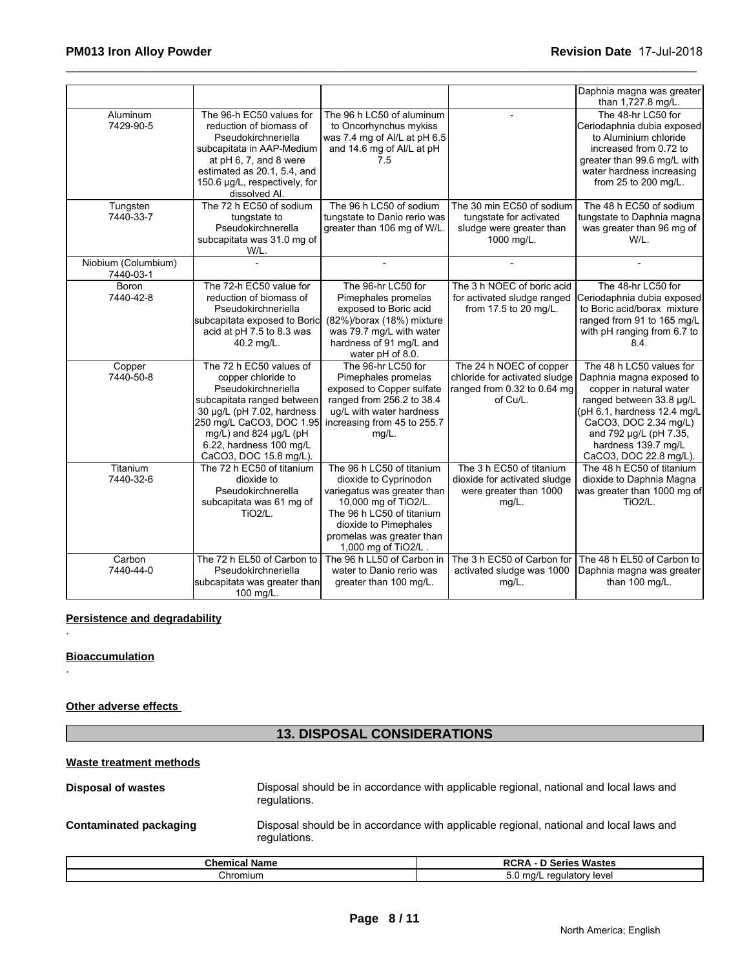|                                  |                                                                                                                                                                                                                                             |                                                                                                                                                                                                                     |                                                                                                     | Daphnia magna was greater<br>than 1,727.8 mg/L.                                                                                                                                                                                                |
|----------------------------------|---------------------------------------------------------------------------------------------------------------------------------------------------------------------------------------------------------------------------------------------|---------------------------------------------------------------------------------------------------------------------------------------------------------------------------------------------------------------------|-----------------------------------------------------------------------------------------------------|------------------------------------------------------------------------------------------------------------------------------------------------------------------------------------------------------------------------------------------------|
| Aluminum<br>7429-90-5            | The 96-h EC50 values for<br>reduction of biomass of<br>Pseudokirchneriella<br>subcapitata in AAP-Medium<br>at pH 6, 7, and 8 were<br>estimated as 20.1, 5.4, and<br>150.6 µg/L, respectively, for<br>dissolved Al.                          | The 96 h LC50 of aluminum<br>to Oncorhynchus mykiss<br>was 7.4 mg of Al/L at pH 6.5<br>and 14.6 mg of Al/L at pH<br>7.5                                                                                             |                                                                                                     | The 48-hr LC50 for<br>Ceriodaphnia dubia exposed<br>to Aluminium chloride<br>increased from 0.72 to<br>greater than 99.6 mg/L with<br>water hardness increasing<br>from 25 to 200 mg/L.                                                        |
| Tungsten<br>7440-33-7            | The 72 h EC50 of sodium<br>tungstate to<br>Pseudokirchnerella<br>subcapitata was 31.0 mg of<br>W/L.                                                                                                                                         | The 96 h LC50 of sodium<br>tungstate to Danio rerio was<br>greater than 106 mg of W/L                                                                                                                               | The 30 min EC50 of sodium<br>tungstate for activated<br>sludge were greater than<br>1000 mg/L.      | The 48 h EC50 of sodium<br>tungstate to Daphnia magna<br>was greater than 96 mg of<br>W/L.                                                                                                                                                     |
| Niobium (Columbium)<br>7440-03-1 |                                                                                                                                                                                                                                             |                                                                                                                                                                                                                     |                                                                                                     |                                                                                                                                                                                                                                                |
| <b>Boron</b><br>7440-42-8        | The 72-h EC50 value for<br>reduction of biomass of<br>Pseudokirchneriella<br>subcapitata exposed to Boric<br>acid at pH 7.5 to 8.3 was<br>40.2 mg/L.                                                                                        | The 96-hr LC50 for<br>Pimephales promelas<br>exposed to Boric acid<br>(82%)/borax (18%) mixture<br>was 79.7 mg/L with water<br>hardness of 91 mg/L and<br>water pH of 8.0.                                          | The 3 h NOEC of boric acid<br>for activated sludge ranged<br>from 17.5 to 20 mg/L.                  | The 48-hr LC50 for<br>Ceriodaphnia dubia exposed<br>to Boric acid/borax mixture<br>ranged from 91 to 165 mg/L<br>with pH ranging from 6.7 to<br>8.4.                                                                                           |
| Copper<br>7440-50-8              | The 72 h EC50 values of<br>copper chloride to<br>Pseudokirchneriella<br>subcapitata ranged between<br>30 µg/L (pH 7.02, hardness<br>250 mg/L CaCO3, DOC 1.95<br>mg/L) and 824 µg/L (pH<br>6.22, hardness 100 mg/L<br>CaCO3, DOC 15.8 mg/L). | The 96-hr LC50 for<br>Pimephales promelas<br>exposed to Copper sulfate<br>ranged from 256.2 to 38.4<br>ug/L with water hardness<br>increasing from 45 to 255.7<br>$mg/L$ .                                          | The 24 h NOEC of copper<br>chloride for activated sludge<br>ranged from 0.32 to 0.64 mg<br>of Cu/L. | The 48 h LC50 values for<br>Daphnia magna exposed to<br>copper in natural water<br>ranged between 33.8 µg/L<br>(pH 6.1, hardness 12.4 mg/L<br>CaCO3, DOC 2.34 mg/L)<br>and 792 µg/L (pH 7.35,<br>hardness 139.7 mg/L<br>CaCO3, DOC 22.8 mg/L). |
| Titanium<br>7440-32-6            | The 72 h EC50 of titanium<br>dioxide to<br>Pseudokirchnerella<br>subcapitata was 61 mg of<br>TiO <sub>2</sub> /L.                                                                                                                           | The 96 h LC50 of titanium<br>dioxide to Cyprinodon<br>variegatus was greater than<br>10,000 mg of TiO2/L.<br>The 96 h LC50 of titanium<br>dioxide to Pimephales<br>promelas was greater than<br>1,000 mg of TiO2/L. | The 3 h EC50 of titanium<br>dioxide for activated sludge<br>were greater than 1000<br>mg/L.         | The 48 h EC50 of titanium<br>dioxide to Daphnia Magna<br>was greater than 1000 mg of<br><b>TiO2/L.</b>                                                                                                                                         |
| Carbon<br>7440-44-0              | The 72 h EL50 of Carbon to<br>Pseudokirchneriella<br>subcapitata was greater than<br>100 mg/L.                                                                                                                                              | The 96 h LL50 of Carbon in<br>water to Danio rerio was<br>greater than 100 mg/L.                                                                                                                                    | The 3 h EC50 of Carbon for<br>activated sludge was 1000<br>$mg/L$ .                                 | The 48 h EL50 of Carbon to<br>Daphnia magna was greater<br>than 100 mg/L.                                                                                                                                                                      |

#### **Persistence and degradability**

#### **Bioaccumulation**

.

.

#### **Other adverse effects**

# **13. DISPOSAL CONSIDERATIONS**

### **Waste treatment methods**

**Disposal of wastes** Disposal should be in accordance with applicable regional, national and local laws and regulations.

**Contaminated packaging** Disposal should be in accordance with applicable regional, national and local laws and regulations.

| Chemical<br>Name | <b>Wastes</b><br>.<br>.<br>.                                                          |
|------------------|---------------------------------------------------------------------------------------|
| `hromium         | v lever<br>ulator<br>$r \wedge r$<br>$\sim$<br>$\mathbf{r}$<br>◡.◡<br>$ -$<br>$\cdot$ |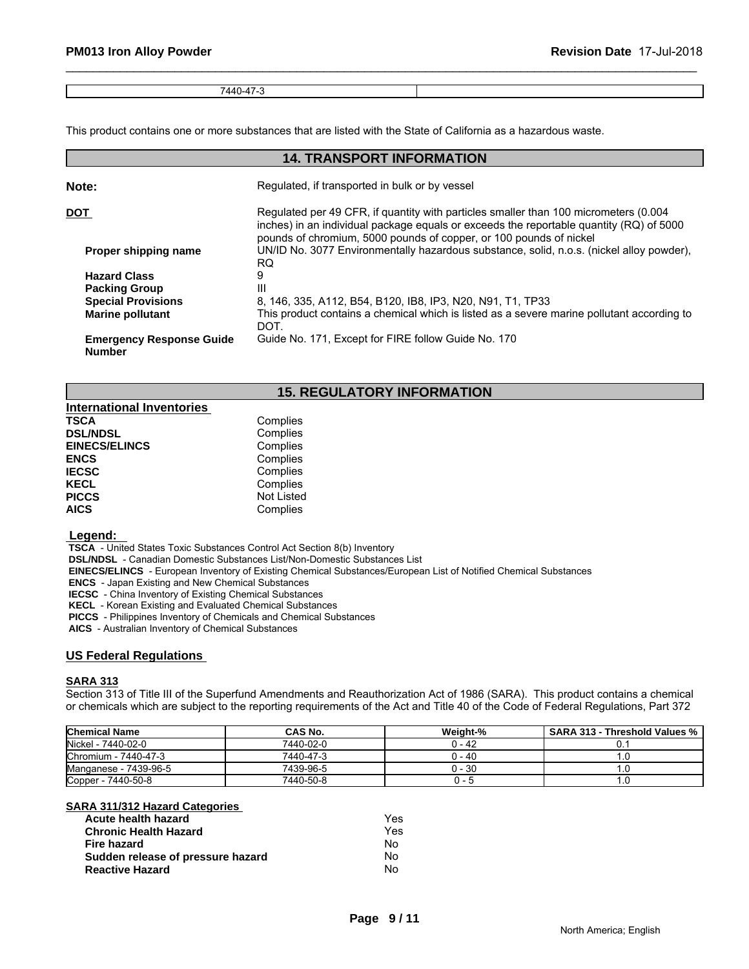| $\overline{\phantom{0}}$<br>7110<br>᠇অ<br>. .<br>$\cdots$ |  |
|-----------------------------------------------------------|--|

This product contains one or more substances that are listed with the State of California as a hazardous waste.

#### **14. TRANSPORT INFORMATION Note:** Regulated, if transported in bulk or by vessel **DOT Regulated per 49 CFR, if quantity with particles smaller than 100 micrometers (0.004** inches) in an individual package equals or exceeds the reportable quantity (RQ) of 5000 pounds of chromium, 5000 pounds of copper, or 100 pounds of nickel **Proper shipping name** UN/ID No. 3077 Environmentally hazardous substance, solid, n.o.s. (nickel alloy powder), RQ RQ **RQ Example 20 Hazard Class** 9 **Packing Group 111 111 111 112**<br>**Special Provisions** 8, **Special Provisions** 8, 146, 335, A112, B54, B120, IB8, IP3, N20, N91, T1, TP33<br>**Marine pollutant** This product contains a chemical which is listed as a severe **Marine pollutant** This product contains a chemical which is listed as a severe marine pollutant according to DOT. **Emergency Response Guide Number** Guide No. 171, Except for FIRE follow Guide No. 170

#### **15. REGULATORY INFORMATION**

| <b>International Inventories</b> |            |  |
|----------------------------------|------------|--|
| <b>TSCA</b>                      | Complies   |  |
| <b>DSL/NDSL</b>                  | Complies   |  |
| <b>EINECS/ELINCS</b>             | Complies   |  |
| <b>ENCS</b>                      | Complies   |  |
| <b>IECSC</b>                     | Complies   |  |
| <b>KECL</b>                      | Complies   |  |
| <b>PICCS</b>                     | Not Listed |  |
| <b>AICS</b>                      | Complies   |  |

#### **Legend:**

 **TSCA** - United States Toxic Substances Control Act Section 8(b) Inventory

 **DSL/NDSL** - Canadian Domestic Substances List/Non-Domestic Substances List

 **EINECS/ELINCS** - European Inventory of Existing Chemical Substances/European List of Notified Chemical Substances

 **ENCS** - Japan Existing and New Chemical Substances

 **IECSC** - China Inventory of Existing Chemical Substances

 **KECL** - Korean Existing and Evaluated Chemical Substances

 **PICCS** - Philippines Inventory of Chemicals and Chemical Substances

 **AICS** - Australian Inventory of Chemical Substances

#### **US Federal Regulations**

#### **SARA 313**

Section 313 of Title III of the Superfund Amendments and Reauthorization Act of 1986 (SARA). This product contains a chemical or chemicals which are subject to the reporting requirements of the Act and Title 40 of the Code of Federal Regulations, Part 372

| <b>Chemical Name</b>  | CAS No.   | Weight-% | <b>SARA 313 - Threshold Values %</b> |
|-----------------------|-----------|----------|--------------------------------------|
| Nickel - 7440-02-0    | 7440-02-0 | 0 - 42   |                                      |
| Chromium - 7440-47-3  | 7440-47-3 | 0 - 40   |                                      |
| Manganese - 7439-96-5 | 7439-96-5 | 0 - 30   |                                      |
| Copper - 7440-50-8    | 7440-50-8 |          | I.U                                  |

#### **SARA 311/312 Hazard Categories**

| Acute health hazard               | Yes |
|-----------------------------------|-----|
| <b>Chronic Health Hazard</b>      | Yes |
| Fire hazard                       | No  |
| Sudden release of pressure hazard | N٥  |
| <b>Reactive Hazard</b>            | No  |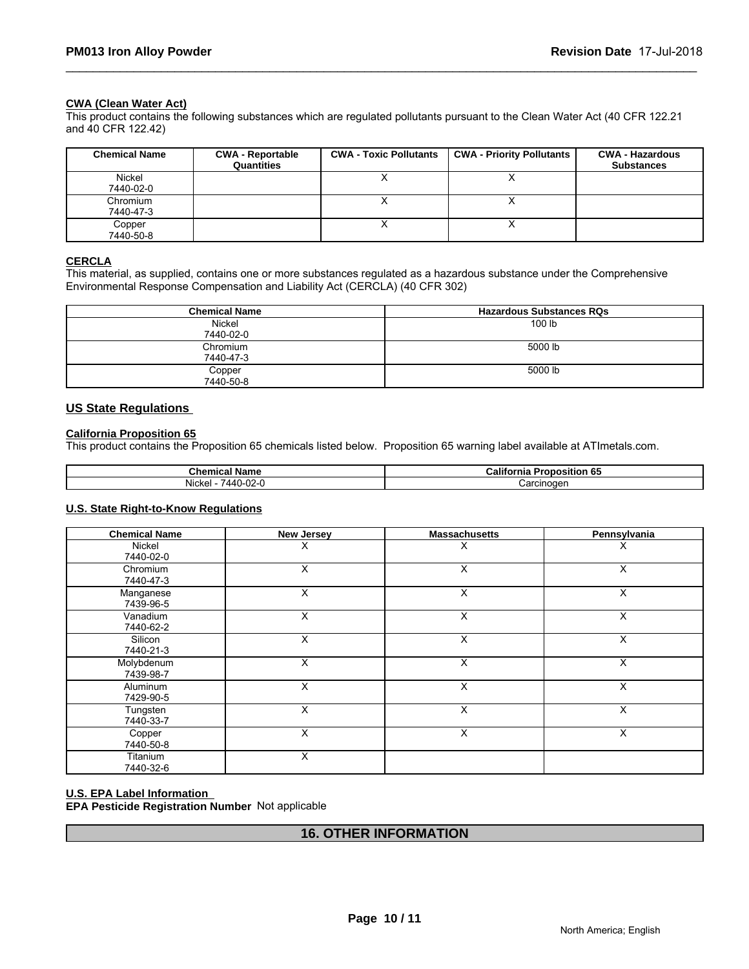#### **CWA (Clean Water Act)**

This product contains the following substances which are regulated pollutants pursuant to the Clean Water Act (40 CFR 122.21 and 40 CFR 122.42)

| <b>Chemical Name</b>  | <b>CWA - Reportable</b><br>Quantities | <b>CWA - Toxic Pollutants</b> | <b>CWA - Priority Pollutants</b> | <b>CWA - Hazardous</b><br><b>Substances</b> |
|-----------------------|---------------------------------------|-------------------------------|----------------------------------|---------------------------------------------|
| Nickel<br>7440-02-0   |                                       |                               | $\lambda$                        |                                             |
| Chromium<br>7440-47-3 |                                       |                               |                                  |                                             |
| Copper<br>7440-50-8   |                                       |                               |                                  |                                             |

#### **CERCLA**

This material, as supplied, contains one or more substances regulated as a hazardous substance under the Comprehensive Environmental Response Compensation and Liability Act (CERCLA) (40 CFR 302)

| <b>Chemical Name</b> | <b>Hazardous Substances RQs</b> |
|----------------------|---------------------------------|
| Nickel               | 100 lb                          |
| 7440-02-0            |                                 |
| Chromium             | 5000 lb                         |
| 7440-47-3            |                                 |
| Copper               | 5000 lb                         |
| 7440-50-8            |                                 |

#### **US State Regulations**

#### **California Proposition 65**

This product contains the Proposition 65 chemicals listed below. Proposition 65 warning label available at ATImetals.com.

| $\sim$ $\sim$ $\sim$<br>Name<br>mica<br>ullel                     | <br>≿alif<br>. .<br>.<br>---<br>. O.<br>วรแเon<br>THE |  |
|-------------------------------------------------------------------|-------------------------------------------------------|--|
| .<br>$\sim$<br>$\Lambda$<br><b>NIC</b><br>ורש<br>'−∠∪<br>NG<br>т. | 'oroinogon<br>. GILIOOZ<br>$\overline{a}$             |  |

#### **U.S. State Right-to-Know Regulations**

| <b>Chemical Name</b>    | New Jersey | <b>Massachusetts</b> | Pennsylvania |  |
|-------------------------|------------|----------------------|--------------|--|
| Nickel<br>7440-02-0     | Χ          | х                    | Х            |  |
| Chromium<br>7440-47-3   | X          | X                    | X            |  |
| Manganese<br>7439-96-5  | X          | X                    | X            |  |
| Vanadium<br>7440-62-2   | X          | X                    | X            |  |
| Silicon<br>7440-21-3    | X          | X                    | X            |  |
| Molybdenum<br>7439-98-7 | X          | X                    | X            |  |
| Aluminum<br>7429-90-5   | X          | X                    | Χ            |  |
| Tungsten<br>7440-33-7   | X          | X                    | X            |  |
| Copper<br>7440-50-8     | X          | X                    | Χ            |  |
| Titanium<br>7440-32-6   | X          |                      |              |  |

#### **U.S. EPA Label Information**

**EPA Pesticide Registration Number** Not applicable

# **16. OTHER INFORMATION**